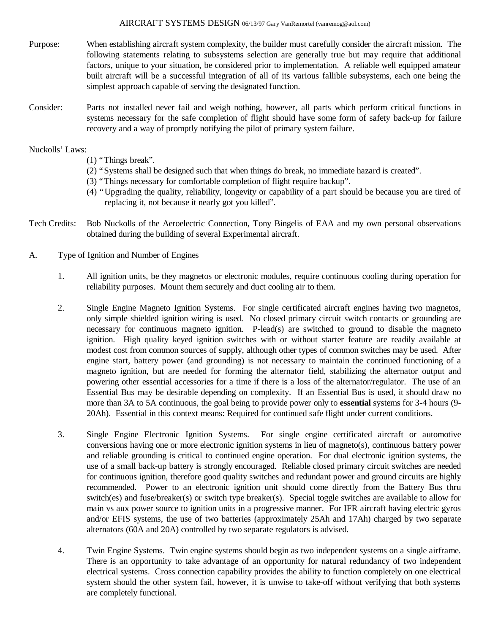- Purpose: When establishing aircraft system complexity, the builder must carefully consider the aircraft mission. The following statements relating to subsystems selection are generally true but may require that additional factors, unique to your situation, be considered prior to implementation. A reliable well equipped amateur built aircraft will be a successful integration of all of its various fallible subsystems, each one being the simplest approach capable of serving the designated function.
- Consider: Parts not installed never fail and weigh nothing, however, all parts which perform critical functions in systems necessary for the safe completion of flight should have some form of safety back-up for failure recovery and a way of promptly notifying the pilot of primary system failure.

Nuckolls' Laws:

- (1) "Things break".
- (2) "Systems shall be designed such that when things do break, no immediate hazard is created".
- (3) "Things necessary for comfortable completion of flight require backup".
- (4) "Upgrading the quality, reliability, longevity or capability of a part should be because you are tired of replacing it, not because it nearly got you killed".
- Tech Credits: Bob Nuckolls of the Aeroelectric Connection, Tony Bingelis of EAA and my own personal observations obtained during the building of several Experimental aircraft.
- A. Type of Ignition and Number of Engines
	- 1. All ignition units, be they magnetos or electronic modules, require continuous cooling during operation for reliability purposes. Mount them securely and duct cooling air to them.
	- 2. Single Engine Magneto Ignition Systems. For single certificated aircraft engines having two magnetos, only simple shielded ignition wiring is used. No closed primary circuit switch contacts or grounding are necessary for continuous magneto ignition. P-lead(s) are switched to ground to disable the magneto ignition. High quality keyed ignition switches with or without starter feature are readily available at modest cost from common sources of supply, although other types of common switches may be used. After engine start, battery power (and grounding) is not necessary to maintain the continued functioning of a magneto ignition, but are needed for forming the alternator field, stabilizing the alternator output and powering other essential accessories for a time if there is a loss of the alternator/regulator. The use of an Essential Bus may be desirable depending on complexity. If an Essential Bus is used, it should draw no more than 3A to 5A continuous, the goal being to provide power only to **essential** systems for 3-4 hours (9- 20Ah). Essential in this context means: Required for continued safe flight under current conditions.
	- 3. Single Engine Electronic Ignition Systems. For single engine certificated aircraft or automotive conversions having one or more electronic ignition systems in lieu of magneto(s), continuous battery power and reliable grounding is critical to continued engine operation. For dual electronic ignition systems, the use of a small back-up battery is strongly encouraged. Reliable closed primary circuit switches are needed for continuous ignition, therefore good quality switches and redundant power and ground circuits are highly recommended. Power to an electronic ignition unit should come directly from the Battery Bus thru switch(es) and fuse/breaker(s) or switch type breaker(s). Special toggle switches are available to allow for main vs aux power source to ignition units in a progressive manner. For IFR aircraft having electric gyros and/or EFIS systems, the use of two batteries (approximately 25Ah and 17Ah) charged by two separate alternators (60A and 20A) controlled by two separate regulators is advised.
	- 4. Twin Engine Systems. Twin engine systems should begin as two independent systems on a single airframe. There is an opportunity to take advantage of an opportunity for natural redundancy of two independent electrical systems. Cross connection capability provides the ability to function completely on one electrical system should the other system fail, however, it is unwise to take-off without verifying that both systems are completely functional.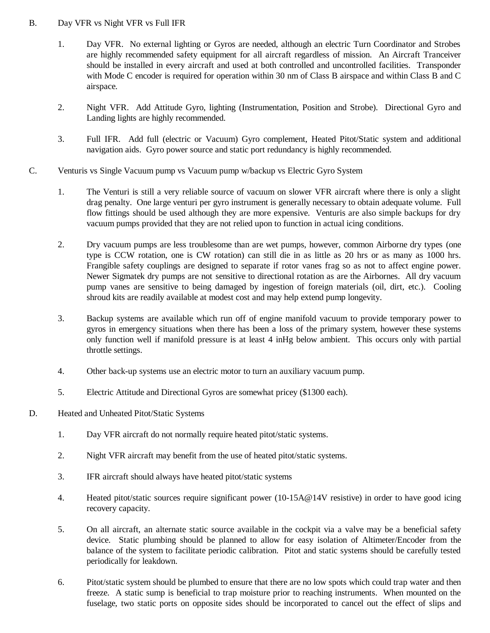## B. Day VFR vs Night VFR vs Full IFR

- 1. Day VFR. No external lighting or Gyros are needed, although an electric Turn Coordinator and Strobes are highly recommended safety equipment for all aircraft regardless of mission. An Aircraft Tranceiver should be installed in every aircraft and used at both controlled and uncontrolled facilities. Transponder with Mode C encoder is required for operation within 30 nm of Class B airspace and within Class B and C airspace.
- 2. Night VFR. Add Attitude Gyro, lighting (Instrumentation, Position and Strobe). Directional Gyro and Landing lights are highly recommended.
- 3. Full IFR. Add full (electric or Vacuum) Gyro complement, Heated Pitot/Static system and additional navigation aids. Gyro power source and static port redundancy is highly recommended.
- C. Venturis vs Single Vacuum pump vs Vacuum pump w/backup vs Electric Gyro System
	- 1. The Venturi is still a very reliable source of vacuum on slower VFR aircraft where there is only a slight drag penalty. One large venturi per gyro instrument is generally necessary to obtain adequate volume. Full flow fittings should be used although they are more expensive. Venturis are also simple backups for dry vacuum pumps provided that they are not relied upon to function in actual icing conditions.
	- 2. Dry vacuum pumps are less troublesome than are wet pumps, however, common Airborne dry types (one type is CCW rotation, one is CW rotation) can still die in as little as 20 hrs or as many as 1000 hrs. Frangible safety couplings are designed to separate if rotor vanes frag so as not to affect engine power. Newer Sigmatek dry pumps are not sensitive to directional rotation as are the Airbornes. All dry vacuum pump vanes are sensitive to being damaged by ingestion of foreign materials (oil, dirt, etc.). Cooling shroud kits are readily available at modest cost and may help extend pump longevity.
	- 3. Backup systems are available which run off of engine manifold vacuum to provide temporary power to gyros in emergency situations when there has been a loss of the primary system, however these systems only function well if manifold pressure is at least 4 inHg below ambient. This occurs only with partial throttle settings.
	- 4. Other back-up systems use an electric motor to turn an auxiliary vacuum pump.
	- 5. Electric Attitude and Directional Gyros are somewhat pricey (\$1300 each).
- D. Heated and Unheated Pitot/Static Systems
	- 1. Day VFR aircraft do not normally require heated pitot/static systems.
	- 2. Night VFR aircraft may benefit from the use of heated pitot/static systems.
	- 3. IFR aircraft should always have heated pitot/static systems
	- 4. Heated pitot/static sources require significant power (10-15A@14V resistive) in order to have good icing recovery capacity.
	- 5. On all aircraft, an alternate static source available in the cockpit via a valve may be a beneficial safety device. Static plumbing should be planned to allow for easy isolation of Altimeter/Encoder from the balance of the system to facilitate periodic calibration. Pitot and static systems should be carefully tested periodically for leakdown.
	- 6. Pitot/static system should be plumbed to ensure that there are no low spots which could trap water and then freeze. A static sump is beneficial to trap moisture prior to reaching instruments. When mounted on the fuselage, two static ports on opposite sides should be incorporated to cancel out the effect of slips and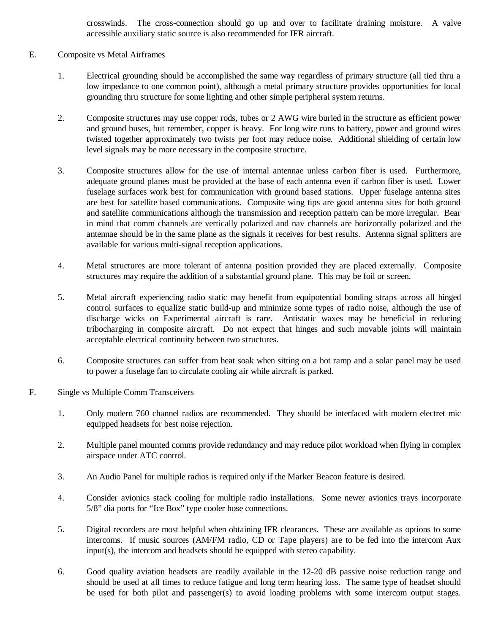crosswinds. The cross-connection should go up and over to facilitate draining moisture. A valve accessible auxiliary static source is also recommended for IFR aircraft.

## E. Composite vs Metal Airframes

- 1. Electrical grounding should be accomplished the same way regardless of primary structure (all tied thru a low impedance to one common point), although a metal primary structure provides opportunities for local grounding thru structure for some lighting and other simple peripheral system returns.
- 2. Composite structures may use copper rods, tubes or 2 AWG wire buried in the structure as efficient power and ground buses, but remember, copper is heavy. For long wire runs to battery, power and ground wires twisted together approximately two twists per foot may reduce noise. Additional shielding of certain low level signals may be more necessary in the composite structure.
- 3. Composite structures allow for the use of internal antennae unless carbon fiber is used. Furthermore, adequate ground planes must be provided at the base of each antenna even if carbon fiber is used. Lower fuselage surfaces work best for communication with ground based stations. Upper fuselage antenna sites are best for satellite based communications. Composite wing tips are good antenna sites for both ground and satellite communications although the transmission and reception pattern can be more irregular. Bear in mind that comm channels are vertically polarized and nav channels are horizontally polarized and the antennae should be in the same plane as the signals it receives for best results. Antenna signal splitters are available for various multi-signal reception applications.
- 4. Metal structures are more tolerant of antenna position provided they are placed externally. Composite structures may require the addition of a substantial ground plane. This may be foil or screen.
- 5. Metal aircraft experiencing radio static may benefit from equipotential bonding straps across all hinged control surfaces to equalize static build-up and minimize some types of radio noise, although the use of discharge wicks on Experimental aircraft is rare. Antistatic waxes may be beneficial in reducing tribocharging in composite aircraft. Do not expect that hinges and such movable joints will maintain acceptable electrical continuity between two structures.
- 6. Composite structures can suffer from heat soak when sitting on a hot ramp and a solar panel may be used to power a fuselage fan to circulate cooling air while aircraft is parked.
- F. Single vs Multiple Comm Transceivers
	- 1. Only modern 760 channel radios are recommended. They should be interfaced with modern electret mic equipped headsets for best noise rejection.
	- 2. Multiple panel mounted comms provide redundancy and may reduce pilot workload when flying in complex airspace under ATC control.
	- 3. An Audio Panel for multiple radios is required only if the Marker Beacon feature is desired.
	- 4. Consider avionics stack cooling for multiple radio installations. Some newer avionics trays incorporate 5/8" dia ports for "Ice Box" type cooler hose connections.
	- 5. Digital recorders are most helpful when obtaining IFR clearances. These are available as options to some intercoms. If music sources (AM/FM radio, CD or Tape players) are to be fed into the intercom Aux input(s), the intercom and headsets should be equipped with stereo capability.
	- 6. Good quality aviation headsets are readily available in the 12-20 dB passive noise reduction range and should be used at all times to reduce fatigue and long term hearing loss. The same type of headset should be used for both pilot and passenger(s) to avoid loading problems with some intercom output stages.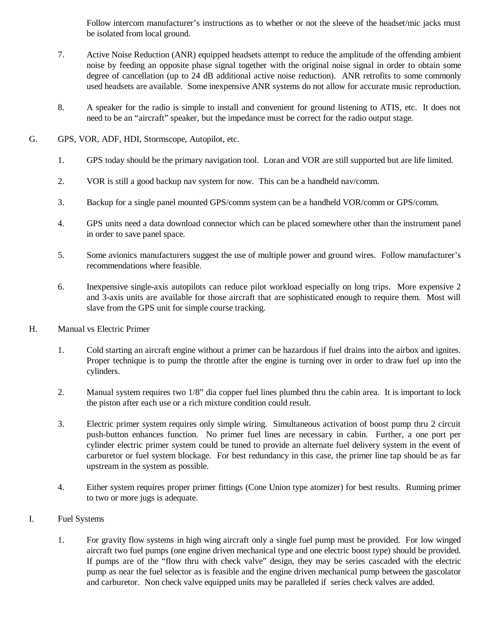Follow intercom manufacturer's instructions as to whether or not the sleeve of the headset/mic jacks must be isolated from local ground.

- 7. Active Noise Reduction (ANR) equipped headsets attempt to reduce the amplitude of the offending ambient noise by feeding an opposite phase signal together with the original noise signal in order to obtain some degree of cancellation (up to 24 dB additional active noise reduction). ANR retrofits to some commonly used headsets are available. Some inexpensive ANR systems do not allow for accurate music reproduction.
- 8. A speaker for the radio is simple to install and convenient for ground listening to ATIS, etc. It does not need to be an "aircraft" speaker, but the impedance must be correct for the radio output stage.
- G. GPS, VOR, ADF, HDI, Stormscope, Autopilot, etc.
	- 1. GPS today should be the primary navigation tool. Loran and VOR are still supported but are life limited.
	- 2. VOR is still a good backup nav system for now. This can be a handheld nav/comm.
	- 3. Backup for a single panel mounted GPS/comm system can be a handheld VOR/comm or GPS/comm.
	- 4. GPS units need a data download connector which can be placed somewhere other than the instrument panel in order to save panel space.
	- 5. Some avionics manufacturers suggest the use of multiple power and ground wires. Follow manufacturer's recommendations where feasible.
	- 6. Inexpensive single-axis autopilots can reduce pilot workload especially on long trips. More expensive 2 and 3-axis units are available for those aircraft that are sophisticated enough to require them. Most will slave from the GPS unit for simple course tracking.
- H. Manual vs Electric Primer
	- 1. Cold starting an aircraft engine without a primer can be hazardous if fuel drains into the airbox and ignites. Proper technique is to pump the throttle after the engine is turning over in order to draw fuel up into the cylinders.
	- 2. Manual system requires two 1/8" dia copper fuel lines plumbed thru the cabin area. It is important to lock the piston after each use or a rich mixture condition could result.
	- 3. Electric primer system requires only simple wiring. Simultaneous activation of boost pump thru 2 circuit push-button enhances function. No primer fuel lines are necessary in cabin. Further, a one port per cylinder electric primer system could be tuned to provide an alternate fuel delivery system in the event of carburetor or fuel system blockage. For best redundancy in this case, the primer line tap should be as far upstream in the system as possible.
	- 4. Either system requires proper primer fittings (Cone Union type atomizer) for best results. Running primer to two or more jugs is adequate.
- I. Fuel Systems
	- 1. For gravity flow systems in high wing aircraft only a single fuel pump must be provided. For low winged aircraft two fuel pumps (one engine driven mechanical type and one electric boost type) should be provided. If pumps are of the "flow thru with check valve" design, they may be series cascaded with the electric pump as near the fuel selector as is feasible and the engine driven mechanical pump between the gascolator and carburetor. Non check valve equipped units may be paralleled if series check valves are added.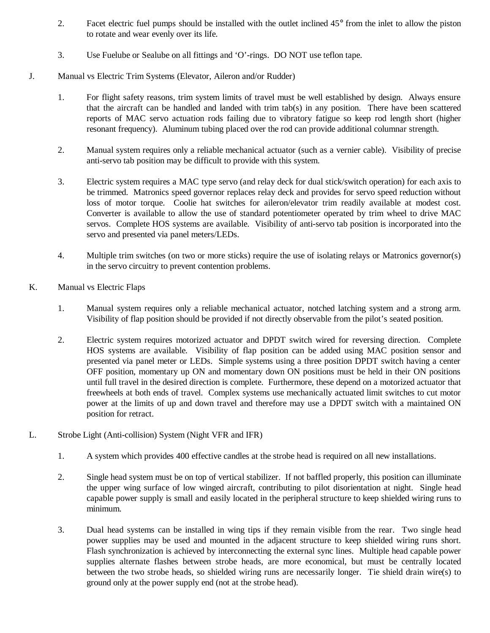- 2. Facet electric fuel pumps should be installed with the outlet inclined 45°from the inlet to allow the piston to rotate and wear evenly over its life.
- 3. Use Fuelube or Sealube on all fittings and 'O'-rings. DO NOT use teflon tape.
- J. Manual vs Electric Trim Systems (Elevator, Aileron and/or Rudder)
	- 1. For flight safety reasons, trim system limits of travel must be well established by design. Always ensure that the aircraft can be handled and landed with trim tab(s) in any position. There have been scattered reports of MAC servo actuation rods failing due to vibratory fatigue so keep rod length short (higher resonant frequency). Aluminum tubing placed over the rod can provide additional columnar strength.
	- 2. Manual system requires only a reliable mechanical actuator (such as a vernier cable). Visibility of precise anti-servo tab position may be difficult to provide with this system.
	- 3. Electric system requires a MAC type servo (and relay deck for dual stick/switch operation) for each axis to be trimmed. Matronics speed governor replaces relay deck and provides for servo speed reduction without loss of motor torque. Coolie hat switches for aileron/elevator trim readily available at modest cost. Converter is available to allow the use of standard potentiometer operated by trim wheel to drive MAC servos. Complete HOS systems are available. Visibility of anti-servo tab position is incorporated into the servo and presented via panel meters/LEDs.
	- 4. Multiple trim switches (on two or more sticks) require the use of isolating relays or Matronics governor(s) in the servo circuitry to prevent contention problems.
- K. Manual vs Electric Flaps
	- 1. Manual system requires only a reliable mechanical actuator, notched latching system and a strong arm. Visibility of flap position should be provided if not directly observable from the pilot's seated position.
	- 2. Electric system requires motorized actuator and DPDT switch wired for reversing direction. Complete HOS systems are available. Visibility of flap position can be added using MAC position sensor and presented via panel meter or LEDs. Simple systems using a three position DPDT switch having a center OFF position, momentary up ON and momentary down ON positions must be held in their ON positions until full travel in the desired direction is complete. Furthermore, these depend on a motorized actuator that freewheels at both ends of travel. Complex systems use mechanically actuated limit switches to cut motor power at the limits of up and down travel and therefore may use a DPDT switch with a maintained ON position for retract.
- L. Strobe Light (Anti-collision) System (Night VFR and IFR)
	- 1. A system which provides 400 effective candles at the strobe head is required on all new installations.
	- 2. Single head system must be on top of vertical stabilizer. If not baffled properly, this position can illuminate the upper wing surface of low winged aircraft, contributing to pilot disorientation at night. Single head capable power supply is small and easily located in the peripheral structure to keep shielded wiring runs to minimum.
	- 3. Dual head systems can be installed in wing tips if they remain visible from the rear. Two single head power supplies may be used and mounted in the adjacent structure to keep shielded wiring runs short. Flash synchronization is achieved by interconnecting the external sync lines. Multiple head capable power supplies alternate flashes between strobe heads, are more economical, but must be centrally located between the two strobe heads, so shielded wiring runs are necessarily longer. Tie shield drain wire(s) to ground only at the power supply end (not at the strobe head).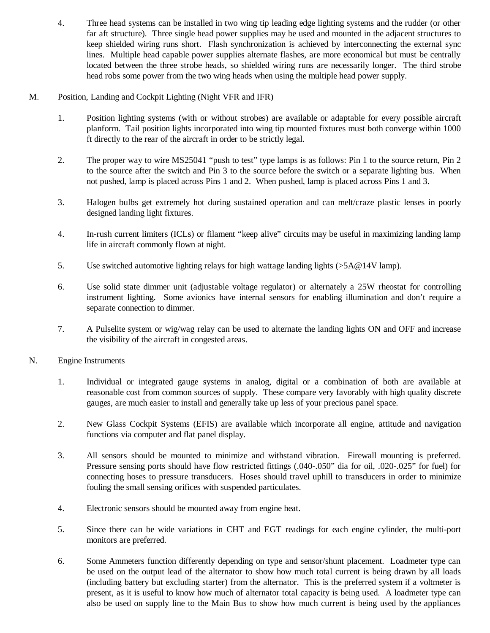- 4. Three head systems can be installed in two wing tip leading edge lighting systems and the rudder (or other far aft structure). Three single head power supplies may be used and mounted in the adjacent structures to keep shielded wiring runs short. Flash synchronization is achieved by interconnecting the external sync lines. Multiple head capable power supplies alternate flashes, are more economical but must be centrally located between the three strobe heads, so shielded wiring runs are necessarily longer. The third strobe head robs some power from the two wing heads when using the multiple head power supply.
- M. Position, Landing and Cockpit Lighting (Night VFR and IFR)
	- 1. Position lighting systems (with or without strobes) are available or adaptable for every possible aircraft planform. Tail position lights incorporated into wing tip mounted fixtures must both converge within 1000 ft directly to the rear of the aircraft in order to be strictly legal.
	- 2. The proper way to wire MS25041 "push to test" type lamps is as follows: Pin 1 to the source return, Pin 2 to the source after the switch and Pin 3 to the source before the switch or a separate lighting bus. When not pushed, lamp is placed across Pins 1 and 2. When pushed, lamp is placed across Pins 1 and 3.
	- 3. Halogen bulbs get extremely hot during sustained operation and can melt/craze plastic lenses in poorly designed landing light fixtures.
	- 4. In-rush current limiters (ICLs) or filament "keep alive" circuits may be useful in maximizing landing lamp life in aircraft commonly flown at night.
	- 5. Use switched automotive lighting relays for high wattage landing lights (>5A@14V lamp).
	- 6. Use solid state dimmer unit (adjustable voltage regulator) or alternately a 25W rheostat for controlling instrument lighting. Some avionics have internal sensors for enabling illumination and don't require a separate connection to dimmer.
	- 7. A Pulselite system or wig/wag relay can be used to alternate the landing lights ON and OFF and increase the visibility of the aircraft in congested areas.
- N. Engine Instruments
	- 1. Individual or integrated gauge systems in analog, digital or a combination of both are available at reasonable cost from common sources of supply. These compare very favorably with high quality discrete gauges, are much easier to install and generally take up less of your precious panel space.
	- 2. New Glass Cockpit Systems (EFIS) are available which incorporate all engine, attitude and navigation functions via computer and flat panel display.
	- 3. All sensors should be mounted to minimize and withstand vibration. Firewall mounting is preferred. Pressure sensing ports should have flow restricted fittings (.040-.050" dia for oil, .020-.025" for fuel) for connecting hoses to pressure transducers. Hoses should travel uphill to transducers in order to minimize fouling the small sensing orifices with suspended particulates.
	- 4. Electronic sensors should be mounted away from engine heat.
	- 5. Since there can be wide variations in CHT and EGT readings for each engine cylinder, the multi-port monitors are preferred.
	- 6. Some Ammeters function differently depending on type and sensor/shunt placement. Loadmeter type can be used on the output lead of the alternator to show how much total current is being drawn by all loads (including battery but excluding starter) from the alternator. This is the preferred system if a voltmeter is present, as it is useful to know how much of alternator total capacity is being used. A loadmeter type can also be used on supply line to the Main Bus to show how much current is being used by the appliances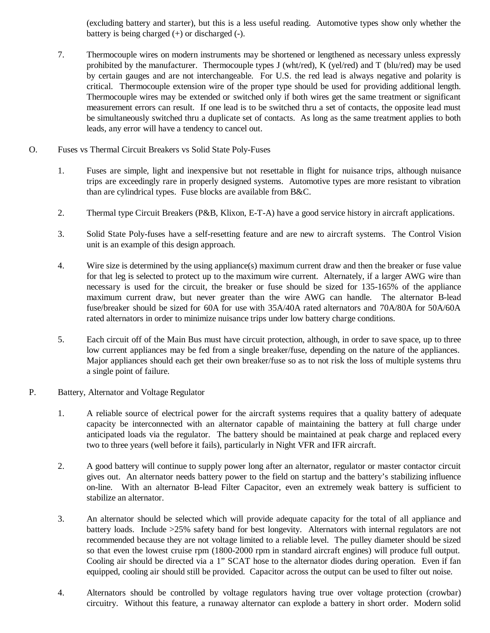(excluding battery and starter), but this is a less useful reading. Automotive types show only whether the battery is being charged  $(+)$  or discharged  $(-)$ .

- 7. Thermocouple wires on modern instruments may be shortened or lengthened as necessary unless expressly prohibited by the manufacturer. Thermocouple types J (wht/red), K (yel/red) and T (blu/red) may be used by certain gauges and are not interchangeable. For U.S. the red lead is always negative and polarity is critical. Thermocouple extension wire of the proper type should be used for providing additional length. Thermocouple wires may be extended or switched only if both wires get the same treatment or significant measurement errors can result. If one lead is to be switched thru a set of contacts, the opposite lead must be simultaneously switched thru a duplicate set of contacts. As long as the same treatment applies to both leads, any error will have a tendency to cancel out.
- O. Fuses vs Thermal Circuit Breakers vs Solid State Poly-Fuses
	- 1. Fuses are simple, light and inexpensive but not resettable in flight for nuisance trips, although nuisance trips are exceedingly rare in properly designed systems. Automotive types are more resistant to vibration than are cylindrical types. Fuse blocks are available from B&C.
	- 2. Thermal type Circuit Breakers (P&B, Klixon, E-T-A) have a good service history in aircraft applications.
	- 3. Solid State Poly-fuses have a self-resetting feature and are new to aircraft systems. The Control Vision unit is an example of this design approach.
	- 4. Wire size is determined by the using appliance(s) maximum current draw and then the breaker or fuse value for that leg is selected to protect up to the maximum wire current. Alternately, if a larger AWG wire than necessary is used for the circuit, the breaker or fuse should be sized for 135-165% of the appliance maximum current draw, but never greater than the wire AWG can handle. The alternator B-lead fuse/breaker should be sized for 60A for use with 35A/40A rated alternators and 70A/80A for 50A/60A rated alternators in order to minimize nuisance trips under low battery charge conditions.
	- 5. Each circuit off of the Main Bus must have circuit protection, although, in order to save space, up to three low current appliances may be fed from a single breaker/fuse, depending on the nature of the appliances. Major appliances should each get their own breaker/fuse so as to not risk the loss of multiple systems thru a single point of failure.
- P. Battery, Alternator and Voltage Regulator
	- 1. A reliable source of electrical power for the aircraft systems requires that a quality battery of adequate capacity be interconnected with an alternator capable of maintaining the battery at full charge under anticipated loads via the regulator. The battery should be maintained at peak charge and replaced every two to three years (well before it fails), particularly in Night VFR and IFR aircraft.
	- 2. A good battery will continue to supply power long after an alternator, regulator or master contactor circuit gives out. An alternator needs battery power to the field on startup and the battery's stabilizing influence on-line. With an alternator B-lead Filter Capacitor, even an extremely weak battery is sufficient to stabilize an alternator.
	- 3. An alternator should be selected which will provide adequate capacity for the total of all appliance and battery loads. Include >25% safety band for best longevity. Alternators with internal regulators are not recommended because they are not voltage limited to a reliable level. The pulley diameter should be sized so that even the lowest cruise rpm (1800-2000 rpm in standard aircraft engines) will produce full output. Cooling air should be directed via a 1" SCAT hose to the alternator diodes during operation. Even if fan equipped, cooling air should still be provided. Capacitor across the output can be used to filter out noise.
	- 4. Alternators should be controlled by voltage regulators having true over voltage protection (crowbar) circuitry. Without this feature, a runaway alternator can explode a battery in short order. Modern solid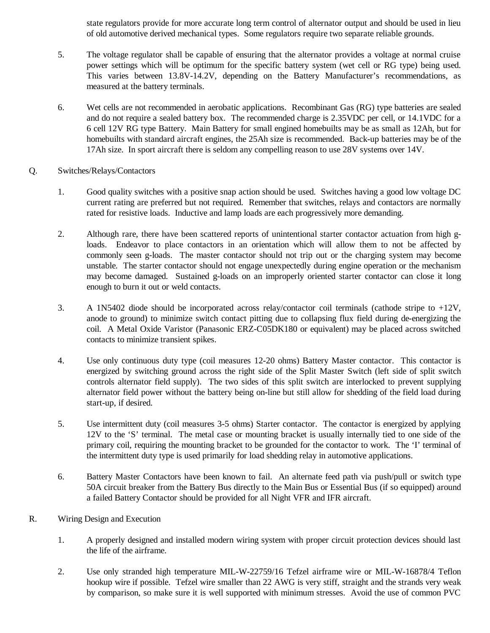state regulators provide for more accurate long term control of alternator output and should be used in lieu of old automotive derived mechanical types. Some regulators require two separate reliable grounds.

- 5. The voltage regulator shall be capable of ensuring that the alternator provides a voltage at normal cruise power settings which will be optimum for the specific battery system (wet cell or RG type) being used. This varies between 13.8V-14.2V, depending on the Battery Manufacturer's recommendations, as measured at the battery terminals.
- 6. Wet cells are not recommended in aerobatic applications. Recombinant Gas (RG) type batteries are sealed and do not require a sealed battery box. The recommended charge is 2.35VDC per cell, or 14.1VDC for a 6 cell 12V RG type Battery. Main Battery for small engined homebuilts may be as small as 12Ah, but for homebuilts with standard aircraft engines, the 25Ah size is recommended. Back-up batteries may be of the 17Ah size. In sport aircraft there is seldom any compelling reason to use 28V systems over 14V.
- Q. Switches/Relays/Contactors
	- 1. Good quality switches with a positive snap action should be used. Switches having a good low voltage DC current rating are preferred but not required. Remember that switches, relays and contactors are normally rated for resistive loads. Inductive and lamp loads are each progressively more demanding.
	- 2. Although rare, there have been scattered reports of unintentional starter contactor actuation from high gloads. Endeavor to place contactors in an orientation which will allow them to not be affected by commonly seen g-loads. The master contactor should not trip out or the charging system may become unstable. The starter contactor should not engage unexpectedly during engine operation or the mechanism may become damaged. Sustained g-loads on an improperly oriented starter contactor can close it long enough to burn it out or weld contacts.
	- 3. A 1N5402 diode should be incorporated across relay/contactor coil terminals (cathode stripe to +12V, anode to ground) to minimize switch contact pitting due to collapsing flux field during de-energizing the coil. A Metal Oxide Varistor (Panasonic ERZ-C05DK180 or equivalent) may be placed across switched contacts to minimize transient spikes.
	- 4. Use only continuous duty type (coil measures 12-20 ohms) Battery Master contactor. This contactor is energized by switching ground across the right side of the Split Master Switch (left side of split switch controls alternator field supply). The two sides of this split switch are interlocked to prevent supplying alternator field power without the battery being on-line but still allow for shedding of the field load during start-up, if desired.
	- 5. Use intermittent duty (coil measures 3-5 ohms) Starter contactor. The contactor is energized by applying 12V to the 'S' terminal. The metal case or mounting bracket is usually internally tied to one side of the primary coil, requiring the mounting bracket to be grounded for the contactor to work. The 'I' terminal of the intermittent duty type is used primarily for load shedding relay in automotive applications.
	- 6. Battery Master Contactors have been known to fail. An alternate feed path via push/pull or switch type 50A circuit breaker from the Battery Bus directly to the Main Bus or Essential Bus (if so equipped) around a failed Battery Contactor should be provided for all Night VFR and IFR aircraft.
- R. Wiring Design and Execution
	- 1. A properly designed and installed modern wiring system with proper circuit protection devices should last the life of the airframe.
	- 2. Use only stranded high temperature MIL-W-22759/16 Tefzel airframe wire or MIL-W-16878/4 Teflon hookup wire if possible. Tefzel wire smaller than 22 AWG is very stiff, straight and the strands very weak by comparison, so make sure it is well supported with minimum stresses. Avoid the use of common PVC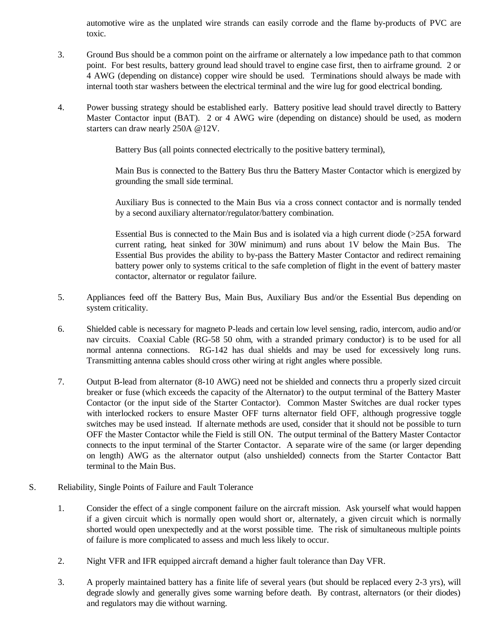automotive wire as the unplated wire strands can easily corrode and the flame by-products of PVC are toxic.

- 3. Ground Bus should be a common point on the airframe or alternately a low impedance path to that common point. For best results, battery ground lead should travel to engine case first, then to airframe ground. 2 or 4 AWG (depending on distance) copper wire should be used. Terminations should always be made with internal tooth star washers between the electrical terminal and the wire lug for good electrical bonding.
- 4. Power bussing strategy should be established early. Battery positive lead should travel directly to Battery Master Contactor input (BAT). 2 or 4 AWG wire (depending on distance) should be used, as modern starters can draw nearly 250A @12V.

Battery Bus (all points connected electrically to the positive battery terminal),

Main Bus is connected to the Battery Bus thru the Battery Master Contactor which is energized by grounding the small side terminal.

Auxiliary Bus is connected to the Main Bus via a cross connect contactor and is normally tended by a second auxiliary alternator/regulator/battery combination.

Essential Bus is connected to the Main Bus and is isolated via a high current diode (>25A forward current rating, heat sinked for 30W minimum) and runs about 1V below the Main Bus. The Essential Bus provides the ability to by-pass the Battery Master Contactor and redirect remaining battery power only to systems critical to the safe completion of flight in the event of battery master contactor, alternator or regulator failure.

- 5. Appliances feed off the Battery Bus, Main Bus, Auxiliary Bus and/or the Essential Bus depending on system criticality.
- 6. Shielded cable is necessary for magneto P-leads and certain low level sensing, radio, intercom, audio and/or nav circuits. Coaxial Cable (RG-58 50 ohm, with a stranded primary conductor) is to be used for all normal antenna connections. RG-142 has dual shields and may be used for excessively long runs. Transmitting antenna cables should cross other wiring at right angles where possible.
- 7. Output B-lead from alternator (8-10 AWG) need not be shielded and connects thru a properly sized circuit breaker or fuse (which exceeds the capacity of the Alternator) to the output terminal of the Battery Master Contactor (or the input side of the Starter Contactor). Common Master Switches are dual rocker types with interlocked rockers to ensure Master OFF turns alternator field OFF, although progressive toggle switches may be used instead. If alternate methods are used, consider that it should not be possible to turn OFF the Master Contactor while the Field is still ON. The output terminal of the Battery Master Contactor connects to the input terminal of the Starter Contactor. A separate wire of the same (or larger depending on length) AWG as the alternator output (also unshielded) connects from the Starter Contactor Batt terminal to the Main Bus.
- S. Reliability, Single Points of Failure and Fault Tolerance
	- 1. Consider the effect of a single component failure on the aircraft mission. Ask yourself what would happen if a given circuit which is normally open would short or, alternately, a given circuit which is normally shorted would open unexpectedly and at the worst possible time. The risk of simultaneous multiple points of failure is more complicated to assess and much less likely to occur.
	- 2. Night VFR and IFR equipped aircraft demand a higher fault tolerance than Day VFR.
	- 3. A properly maintained battery has a finite life of several years (but should be replaced every 2-3 yrs), will degrade slowly and generally gives some warning before death. By contrast, alternators (or their diodes) and regulators may die without warning.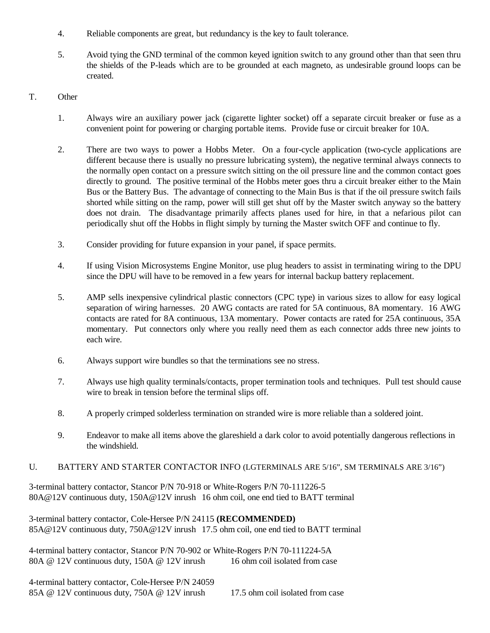- 4. Reliable components are great, but redundancy is the key to fault tolerance.
- 5. Avoid tying the GND terminal of the common keyed ignition switch to any ground other than that seen thru the shields of the P-leads which are to be grounded at each magneto, as undesirable ground loops can be created.
- T. Other
	- 1. Always wire an auxiliary power jack (cigarette lighter socket) off a separate circuit breaker or fuse as a convenient point for powering or charging portable items. Provide fuse or circuit breaker for 10A.
	- 2. There are two ways to power a Hobbs Meter. On a four-cycle application (two-cycle applications are different because there is usually no pressure lubricating system), the negative terminal always connects to the normally open contact on a pressure switch sitting on the oil pressure line and the common contact goes directly to ground. The positive terminal of the Hobbs meter goes thru a circuit breaker either to the Main Bus or the Battery Bus. The advantage of connecting to the Main Bus is that if the oil pressure switch fails shorted while sitting on the ramp, power will still get shut off by the Master switch anyway so the battery does not drain. The disadvantage primarily affects planes used for hire, in that a nefarious pilot can periodically shut off the Hobbs in flight simply by turning the Master switch OFF and continue to fly.
	- 3. Consider providing for future expansion in your panel, if space permits.
	- 4. If using Vision Microsystems Engine Monitor, use plug headers to assist in terminating wiring to the DPU since the DPU will have to be removed in a few years for internal backup battery replacement.
	- 5. AMP sells inexpensive cylindrical plastic connectors (CPC type) in various sizes to allow for easy logical separation of wiring harnesses. 20 AWG contacts are rated for 5A continuous, 8A momentary. 16 AWG contacts are rated for 8A continuous, 13A momentary. Power contacts are rated for 25A continuous, 35A momentary. Put connectors only where you really need them as each connector adds three new joints to each wire.
	- 6. Always support wire bundles so that the terminations see no stress.
	- 7. Always use high quality terminals/contacts, proper termination tools and techniques. Pull test should cause wire to break in tension before the terminal slips off.
	- 8. A properly crimped solderless termination on stranded wire is more reliable than a soldered joint.
	- 9. Endeavor to make all items above the glareshield a dark color to avoid potentially dangerous reflections in the windshield.

## U. BATTERY AND STARTER CONTACTOR INFO (LGTERMINALS ARE 5/16", SM TERMINALS ARE 3/16")

3-terminal battery contactor, Stancor P/N 70-918 or White-Rogers P/N 70-111226-5 80A@12V continuous duty, 150A@12V inrush 16 ohm coil, one end tied to BATT terminal

3-terminal battery contactor, Cole-Hersee P/N 24115 **(RECOMMENDED)** 85A@12V continuous duty, 750A@12V inrush 17.5 ohm coil, one end tied to BATT terminal

4-terminal battery contactor, Stancor P/N 70-902 or White-Rogers P/N 70-111224-5A 80A @ 12V continuous duty, 150A @ 12V inrush 16 ohm coil isolated from case

4-terminal battery contactor, Cole-Hersee P/N 24059 85A @ 12V continuous duty, 750A @ 12V inrush 17.5 ohm coil isolated from case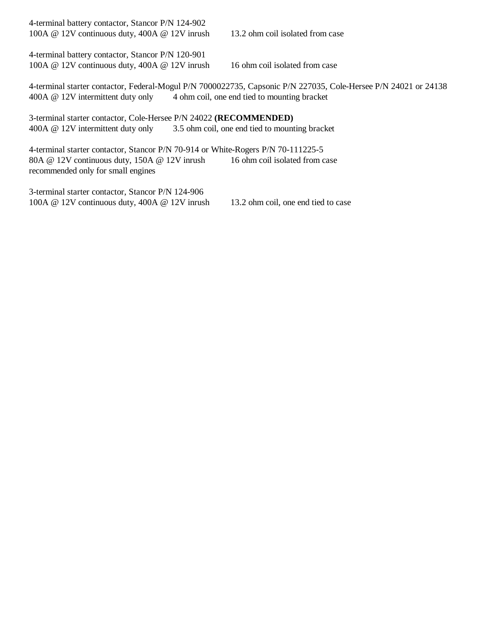| 4-terminal battery contactor, Stancor P/N 124-902<br>100A @ 12V continuous duty, 400A @ 12V inrush                                                                                                           | 13.2 ohm coil isolated from case |  |  |  |  |  |  |
|--------------------------------------------------------------------------------------------------------------------------------------------------------------------------------------------------------------|----------------------------------|--|--|--|--|--|--|
| 4-terminal battery contactor, Stancor P/N 120-901<br>100A $@$ 12V continuous duty, 400A $@$ 12V inrush                                                                                                       | 16 ohm coil isolated from case   |  |  |  |  |  |  |
| 4-terminal starter contactor, Federal-Mogul P/N 7000022735, Capsonic P/N 227035, Cole-Hersee P/N 24021 or 24138<br>4 ohm coil, one end tied to mounting bracket<br>400A @ 12V intermittent duty only         |                                  |  |  |  |  |  |  |
| 3-terminal starter contactor, Cole-Hersee P/N 24022 (RECOMMENDED)<br>400A @ 12V intermittent duty only<br>3.5 ohm coil, one end tied to mounting bracket                                                     |                                  |  |  |  |  |  |  |
| 4-terminal starter contactor, Stancor P/N 70-914 or White-Rogers P/N 70-111225-5<br>16 ohm coil isolated from case<br>80A $@$ 12V continuous duty, 150A $@$ 12V inrush<br>recommended only for small engines |                                  |  |  |  |  |  |  |
| 3-terminal starter contactor, Stancor P/N 124-906                                                                                                                                                            |                                  |  |  |  |  |  |  |

100A @ 12V continuous duty, 400A @ 12V inrush 13.2 ohm coil, one end tied to case